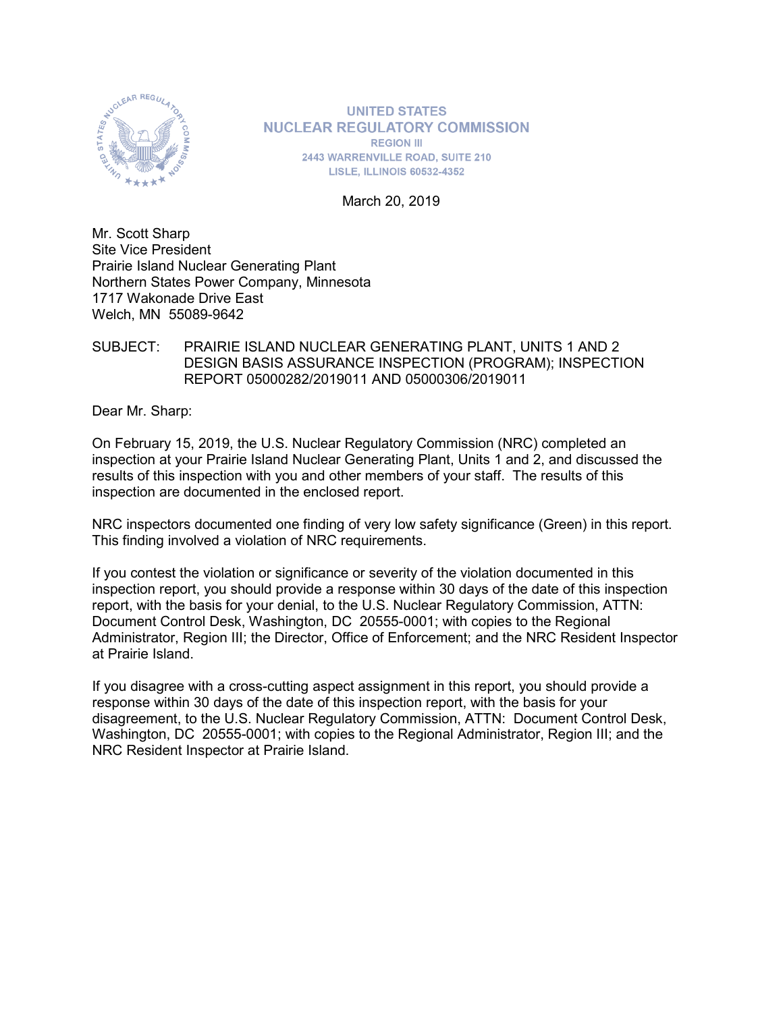

**UNITED STATES NUCLEAR REGULATORY COMMISSION REGION III 2443 WARRENVILLE ROAD, SUITE 210 LISLE, ILLINOIS 60532-4352** 

March 20, 2019

Mr. Scott Sharp Site Vice President Prairie Island Nuclear Generating Plant Northern States Power Company, Minnesota 1717 Wakonade Drive East Welch, MN 55089-9642

#### SUBJECT: PRAIRIE ISLAND NUCLEAR GENERATING PLANT, UNITS 1 AND 2 DESIGN BASIS ASSURANCE INSPECTION (PROGRAM); INSPECTION REPORT 05000282/2019011 AND 05000306/2019011

Dear Mr. Sharp:

On February 15, 2019, the U.S. Nuclear Regulatory Commission (NRC) completed an inspection at your Prairie Island Nuclear Generating Plant, Units 1 and 2, and discussed the results of this inspection with you and other members of your staff. The results of this inspection are documented in the enclosed report.

NRC inspectors documented one finding of very low safety significance (Green) in this report. This finding involved a violation of NRC requirements.

If you contest the violation or significance or severity of the violation documented in this inspection report, you should provide a response within 30 days of the date of this inspection report, with the basis for your denial, to the U.S. Nuclear Regulatory Commission, ATTN: Document Control Desk, Washington, DC 20555-0001; with copies to the Regional Administrator, Region III; the Director, Office of Enforcement; and the NRC Resident Inspector at Prairie Island.

If you disagree with a cross-cutting aspect assignment in this report, you should provide a response within 30 days of the date of this inspection report, with the basis for your disagreement, to the U.S. Nuclear Regulatory Commission, ATTN: Document Control Desk, Washington, DC 20555-0001; with copies to the Regional Administrator, Region III; and the NRC Resident Inspector at Prairie Island.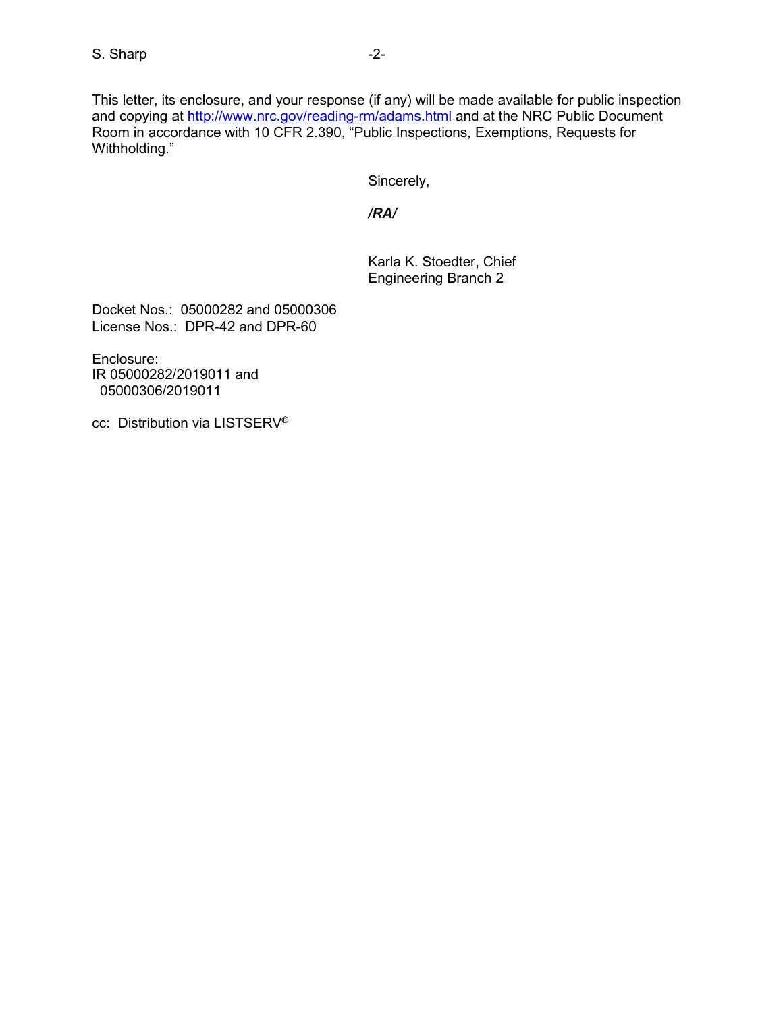This letter, its enclosure, and your response (if any) will be made available for public inspection and copying at<http://www.nrc.gov/reading-rm/adams.html> and at the NRC Public Document Room in accordance with 10 CFR 2.390, "Public Inspections, Exemptions, Requests for Withholding."

Sincerely,

*/RA/*

Karla K. Stoedter, Chief Engineering Branch 2

Docket Nos.: 05000282 and 05000306 License Nos.: DPR-42 and DPR-60

Enclosure: IR 05000282/2019011 and 05000306/2019011

cc: Distribution via LISTSERV®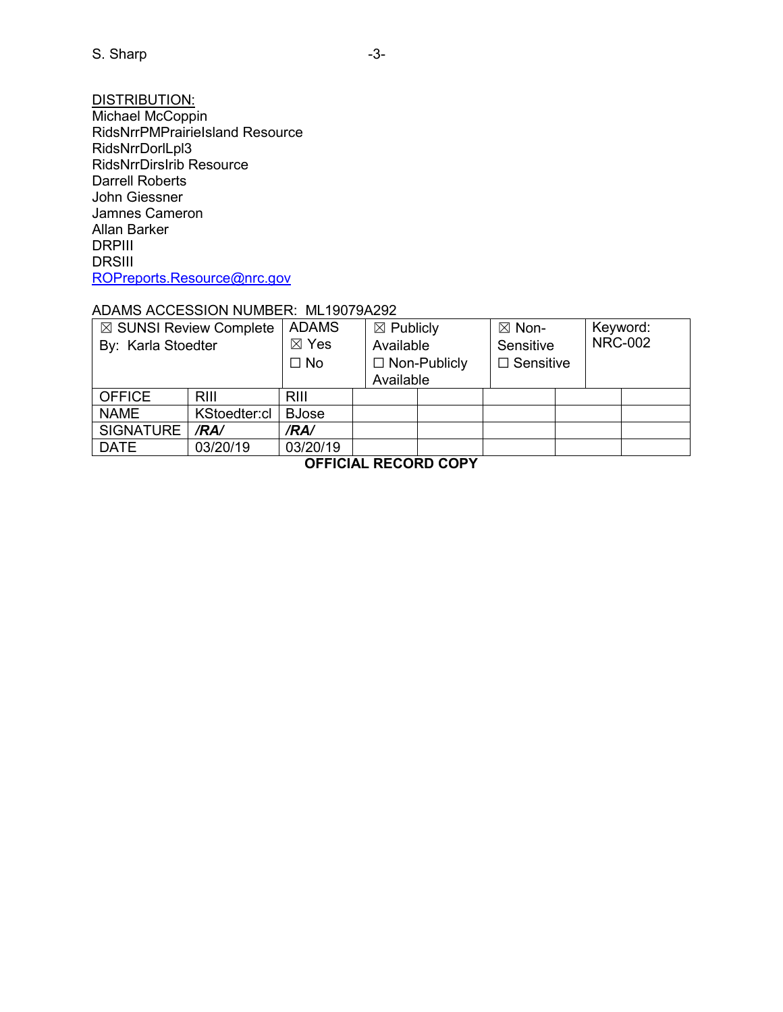<u>DISTRIBUTION:</u> Michael McCoppin RidsNrrPMPrairieIsland Resource RidsNrrDorlLpl3 RidsNrrDirsIrib Resource Darrell Roberts John Giessner Jamnes Cameron Allan Barker DRPIII DRSIII [ROPreports.Resource@nrc.gov](mailto:ROPreports.Resource@nrc.gov)

#### ADAMS ACCESSION NUMBER: ML19079A292

| $\boxtimes$ SUNSI Review Complete<br>By: Karla Stoedter |              | <b>ADAMS</b><br>$\boxtimes$ Yes<br>$\Box$ No | $\boxtimes$ Publicly<br>Available<br>$\Box$ Non-Publicly<br>Available |  | $\boxtimes$ Non-<br>Sensitive<br>$\Box$ Sensitive |  | Keyword:<br><b>NRC-002</b> |  |
|---------------------------------------------------------|--------------|----------------------------------------------|-----------------------------------------------------------------------|--|---------------------------------------------------|--|----------------------------|--|
| <b>OFFICE</b>                                           | RIII         | <b>RIII</b>                                  |                                                                       |  |                                                   |  |                            |  |
| <b>NAME</b>                                             | KStoedter:cl | <b>BJose</b>                                 |                                                                       |  |                                                   |  |                            |  |
| SIGNATURE                                               | /RA/         | /RA/                                         |                                                                       |  |                                                   |  |                            |  |
| <b>DATE</b>                                             | 03/20/19     | 03/20/19                                     |                                                                       |  |                                                   |  |                            |  |

**OFFICIAL RECORD COPY**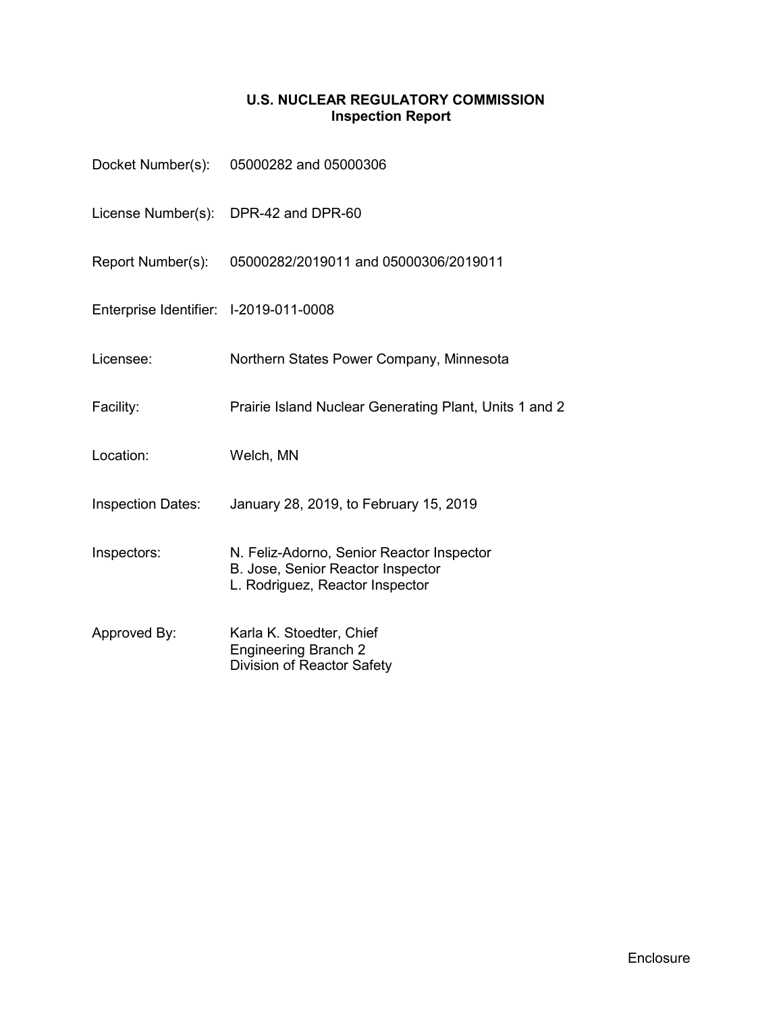# **U.S. NUCLEAR REGULATORY COMMISSION Inspection Report**

|                                        | Docket Number(s): 05000282 and 05000306                                                                           |
|----------------------------------------|-------------------------------------------------------------------------------------------------------------------|
|                                        | License Number(s): DPR-42 and DPR-60                                                                              |
| Report Number(s):                      | 05000282/2019011 and 05000306/2019011                                                                             |
| Enterprise Identifier: I-2019-011-0008 |                                                                                                                   |
| Licensee:                              | Northern States Power Company, Minnesota                                                                          |
| Facility:                              | Prairie Island Nuclear Generating Plant, Units 1 and 2                                                            |
| Location:                              | Welch, MN                                                                                                         |
| <b>Inspection Dates:</b>               | January 28, 2019, to February 15, 2019                                                                            |
| Inspectors:                            | N. Feliz-Adorno, Senior Reactor Inspector<br>B. Jose, Senior Reactor Inspector<br>L. Rodriguez, Reactor Inspector |
| Approved By:                           | Karla K. Stoedter, Chief<br><b>Engineering Branch 2</b><br>Division of Reactor Safety                             |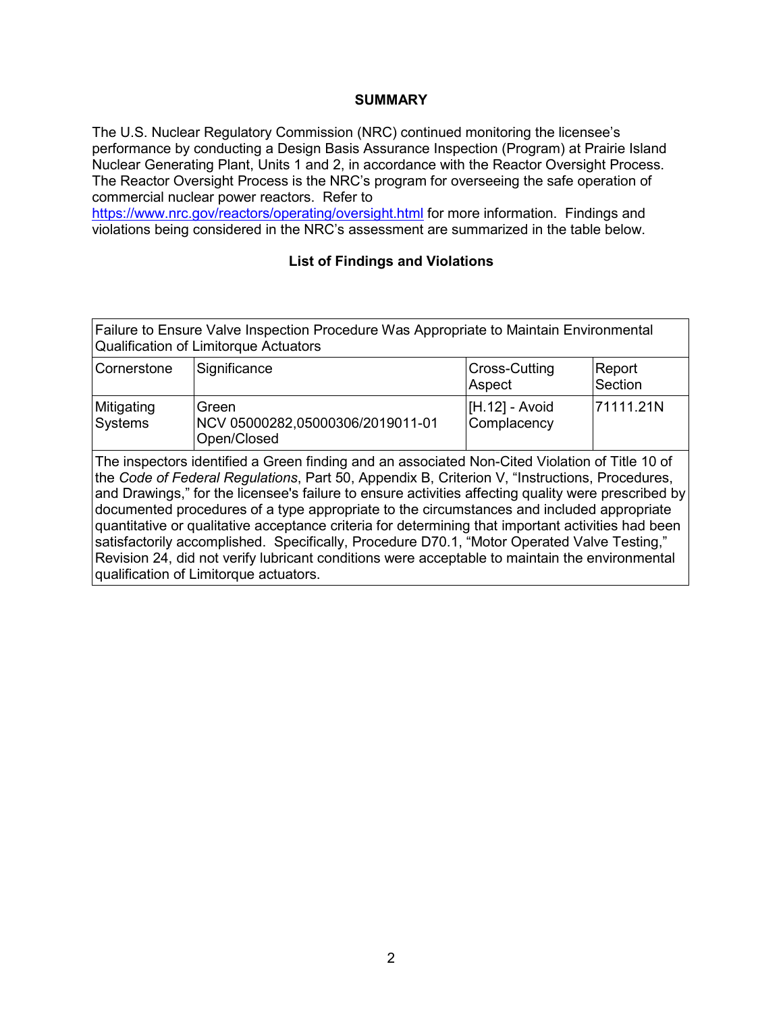#### **SUMMARY**

The U.S. Nuclear Regulatory Commission (NRC) continued monitoring the licensee's performance by conducting a Design Basis Assurance Inspection (Program) at Prairie Island Nuclear Generating Plant, Units 1 and 2, in accordance with the Reactor Oversight Process. The Reactor Oversight Process is the NRC's program for overseeing the safe operation of commercial nuclear power reactors. Refer to

<https://www.nrc.gov/reactors/operating/oversight.html> for more information. Findings and violations being considered in the NRC's assessment are summarized in the table below.

## **List of Findings and Violations**

| Failure to Ensure Valve Inspection Procedure Was Appropriate to Maintain Environmental |  |
|----------------------------------------------------------------------------------------|--|
| Qualification of Limitorque Actuators                                                  |  |
|                                                                                        |  |

| Cornerstone           | Significance                                                    | <b>Cross-Cutting</b><br>Aspect  | Report<br>Section |
|-----------------------|-----------------------------------------------------------------|---------------------------------|-------------------|
| Mitigating<br>Systems | <b>Green</b><br>NCV 05000282,05000306/2019011-01<br>Open/Closed | $[H.12] - Avoid$<br>Complacency | 171111.21N        |

The inspectors identified a Green finding and an associated Non-Cited Violation of Title 10 of the *Code of Federal Regulations*, Part 50, Appendix B, Criterion V, "Instructions, Procedures, and Drawings," for the licensee's failure to ensure activities affecting quality were prescribed by documented procedures of a type appropriate to the circumstances and included appropriate quantitative or qualitative acceptance criteria for determining that important activities had been satisfactorily accomplished. Specifically, Procedure D70.1, "Motor Operated Valve Testing," Revision 24, did not verify lubricant conditions were acceptable to maintain the environmental qualification of Limitorque actuators.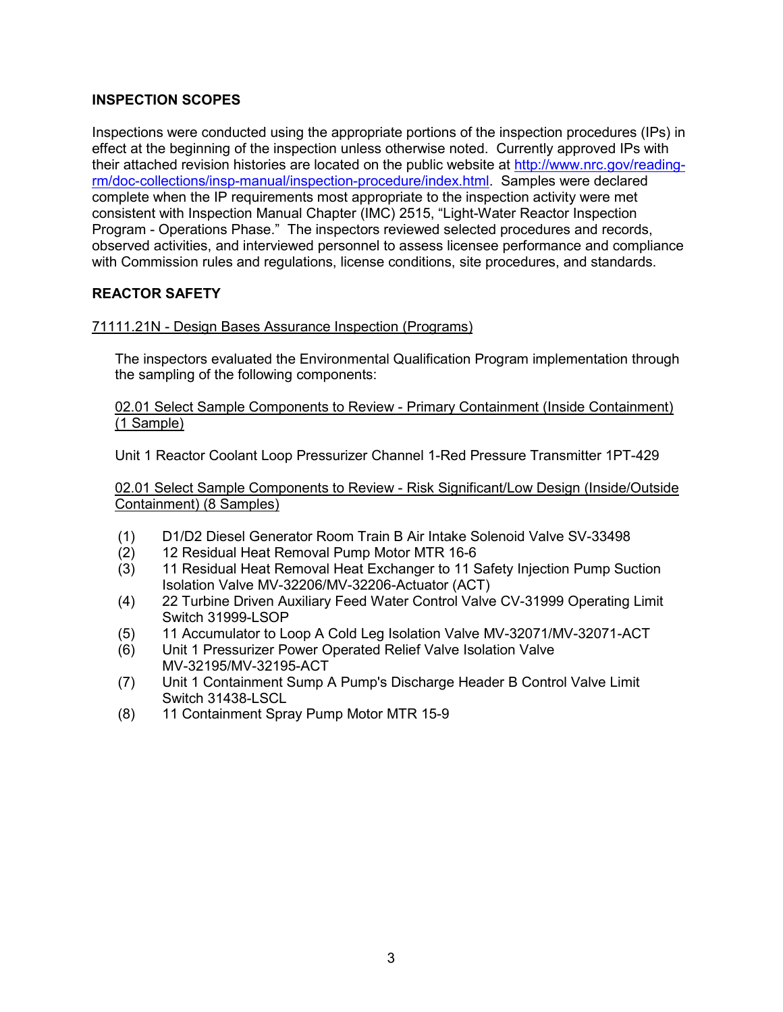## **INSPECTION SCOPES**

Inspections were conducted using the appropriate portions of the inspection procedures (IPs) in effect at the beginning of the inspection unless otherwise noted. Currently approved IPs with their attached revision histories are located on the public website at [http://www.nrc.gov/reading](http://www.nrc.gov/reading-rm/doc-collections/insp-manual/inspection-procedure/index.html)[rm/doc-collections/insp-manual/inspection-procedure/index.html.](http://www.nrc.gov/reading-rm/doc-collections/insp-manual/inspection-procedure/index.html) Samples were declared complete when the IP requirements most appropriate to the inspection activity were met consistent with Inspection Manual Chapter (IMC) 2515, "Light-Water Reactor Inspection Program - Operations Phase." The inspectors reviewed selected procedures and records, observed activities, and interviewed personnel to assess licensee performance and compliance with Commission rules and regulations, license conditions, site procedures, and standards.

## **REACTOR SAFETY**

## 71111.21N - Design Bases Assurance Inspection (Programs)

The inspectors evaluated the Environmental Qualification Program implementation through the sampling of the following components:

02.01 Select Sample Components to Review - Primary Containment (Inside Containment) (1 Sample)

Unit 1 Reactor Coolant Loop Pressurizer Channel 1-Red Pressure Transmitter 1PT-429

02.01 Select Sample Components to Review - Risk Significant/Low Design (Inside/Outside Containment) (8 Samples)

- (1) D1/D2 Diesel Generator Room Train B Air Intake Solenoid Valve SV-33498
- (2) 12 Residual Heat Removal Pump Motor MTR 16-6
- (3) 11 Residual Heat Removal Heat Exchanger to 11 Safety Injection Pump Suction Isolation Valve MV-32206/MV-32206-Actuator (ACT)
- (4) 22 Turbine Driven Auxiliary Feed Water Control Valve CV-31999 Operating Limit Switch 31999-LSOP
- (5) 11 Accumulator to Loop A Cold Leg Isolation Valve MV-32071/MV-32071-ACT
- (6) Unit 1 Pressurizer Power Operated Relief Valve Isolation Valve MV-32195/MV-32195-ACT
- (7) Unit 1 Containment Sump A Pump's Discharge Header B Control Valve Limit Switch 31438-LSCL
- (8) 11 Containment Spray Pump Motor MTR 15-9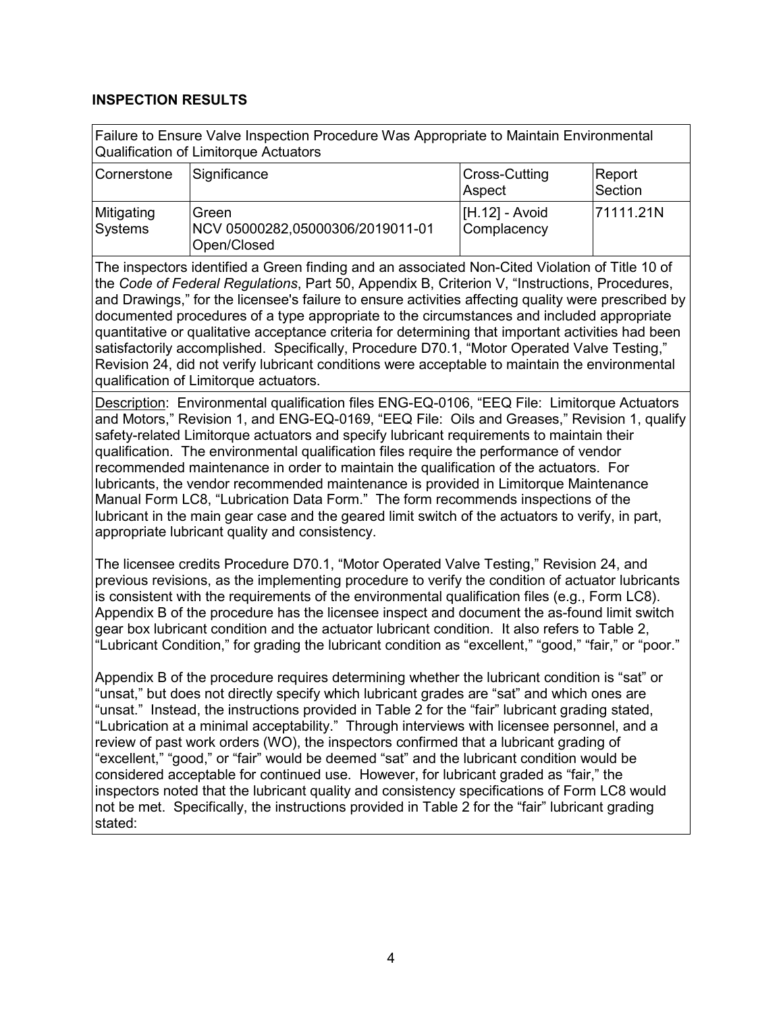#### **INSPECTION RESULTS**

| Failure to Ensure Valve Inspection Procedure Was Appropriate to Maintain Environmental |  |
|----------------------------------------------------------------------------------------|--|
| Qualification of Limitorque Actuators                                                  |  |

| Cornerstone           | Significance                                                    | Cross-Cutting<br> Aspect      | Report<br>Section |
|-----------------------|-----------------------------------------------------------------|-------------------------------|-------------------|
| Mitigating<br>Systems | <b>Green</b><br>NCV 05000282,05000306/2019011-01<br>Open/Closed | [H.12] - Avoid<br>Complacency | 171111.21N        |

The inspectors identified a Green finding and an associated Non-Cited Violation of Title 10 of the *Code of Federal Regulations*, Part 50, Appendix B, Criterion V, "Instructions, Procedures, and Drawings," for the licensee's failure to ensure activities affecting quality were prescribed by documented procedures of a type appropriate to the circumstances and included appropriate quantitative or qualitative acceptance criteria for determining that important activities had been satisfactorily accomplished. Specifically, Procedure D70.1, "Motor Operated Valve Testing," Revision 24, did not verify lubricant conditions were acceptable to maintain the environmental qualification of Limitorque actuators.

Description: Environmental qualification files ENG-EQ-0106, "EEQ File: Limitorque Actuators and Motors," Revision 1, and ENG-EQ-0169, "EEQ File: Oils and Greases," Revision 1, qualify safety-related Limitorque actuators and specify lubricant requirements to maintain their qualification. The environmental qualification files require the performance of vendor recommended maintenance in order to maintain the qualification of the actuators. For lubricants, the vendor recommended maintenance is provided in Limitorque Maintenance Manual Form LC8, "Lubrication Data Form." The form recommends inspections of the lubricant in the main gear case and the geared limit switch of the actuators to verify, in part, appropriate lubricant quality and consistency.

The licensee credits Procedure D70.1, "Motor Operated Valve Testing," Revision 24, and previous revisions, as the implementing procedure to verify the condition of actuator lubricants is consistent with the requirements of the environmental qualification files (e.g., Form LC8). Appendix B of the procedure has the licensee inspect and document the as-found limit switch gear box lubricant condition and the actuator lubricant condition. It also refers to Table 2, "Lubricant Condition," for grading the lubricant condition as "excellent," "good," "fair," or "poor."

Appendix B of the procedure requires determining whether the lubricant condition is "sat" or 'unsat," but does not directly specify which lubricant grades are "sat" and which ones are "unsat." Instead, the instructions provided in Table 2 for the "fair" lubricant grading stated, "Lubrication at a minimal acceptability." Through interviews with licensee personnel, and a review of past work orders (WO), the inspectors confirmed that a lubricant grading of "excellent," "good," or "fair" would be deemed "sat" and the lubricant condition would be considered acceptable for continued use. However, for lubricant graded as "fair," the inspectors noted that the lubricant quality and consistency specifications of Form LC8 would not be met. Specifically, the instructions provided in Table 2 for the "fair" lubricant grading stated: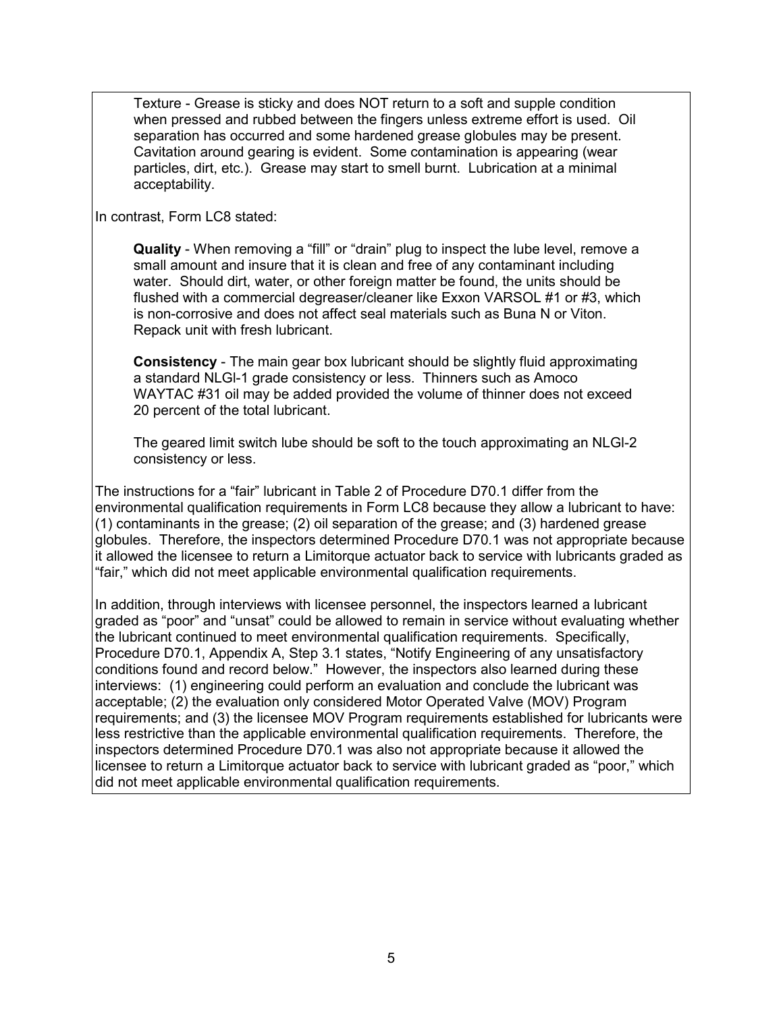Texture - Grease is sticky and does NOT return to a soft and supple condition when pressed and rubbed between the fingers unless extreme effort is used. Oil separation has occurred and some hardened grease globules may be present. Cavitation around gearing is evident. Some contamination is appearing (wear particles, dirt, etc.). Grease may start to smell burnt. Lubrication at a minimal acceptability.

In contrast, Form LC8 stated:

**Quality** - When removing a "fill" or "drain" plug to inspect the lube level, remove a small amount and insure that it is clean and free of any contaminant including water. Should dirt, water, or other foreign matter be found, the units should be flushed with a commercial degreaser/cleaner like Exxon VARSOL #1 or #3, which is non-corrosive and does not affect seal materials such as Buna N or Viton. Repack unit with fresh lubricant.

**Consistency** - The main gear box lubricant should be slightly fluid approximating a standard NLGl-1 grade consistency or less. Thinners such as Amoco WAYTAC #31 oil may be added provided the volume of thinner does not exceed 20 percent of the total lubricant.

The geared limit switch lube should be soft to the touch approximating an NLGl-2 consistency or less.

The instructions for a "fair" lubricant in Table 2 of Procedure D70.1 differ from the environmental qualification requirements in Form LC8 because they allow a lubricant to have: (1) contaminants in the grease; (2) oil separation of the grease; and (3) hardened grease globules. Therefore, the inspectors determined Procedure D70.1 was not appropriate because it allowed the licensee to return a Limitorque actuator back to service with lubricants graded as "fair," which did not meet applicable environmental qualification requirements.

In addition, through interviews with licensee personnel, the inspectors learned a lubricant graded as "poor" and "unsat" could be allowed to remain in service without evaluating whether the lubricant continued to meet environmental qualification requirements. Specifically, Procedure D70.1, Appendix A, Step 3.1 states, "Notify Engineering of any unsatisfactory conditions found and record below." However, the inspectors also learned during these interviews: (1) engineering could perform an evaluation and conclude the lubricant was acceptable; (2) the evaluation only considered Motor Operated Valve (MOV) Program requirements; and (3) the licensee MOV Program requirements established for lubricants were less restrictive than the applicable environmental qualification requirements. Therefore, the inspectors determined Procedure D70.1 was also not appropriate because it allowed the licensee to return a Limitorque actuator back to service with lubricant graded as "poor," which did not meet applicable environmental qualification requirements.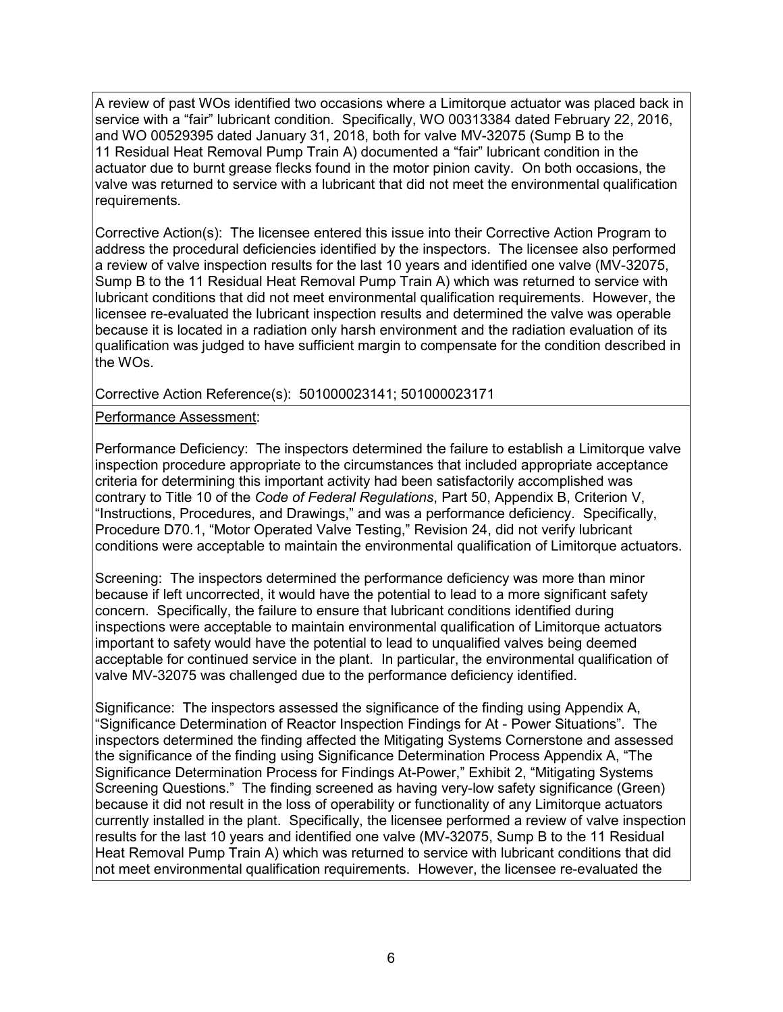A review of past WOs identified two occasions where a Limitorque actuator was placed back in service with a "fair" lubricant condition. Specifically, WO 00313384 dated February 22, 2016, and WO 00529395 dated January 31, 2018, both for valve MV-32075 (Sump B to the 11 Residual Heat Removal Pump Train A) documented a "fair" lubricant condition in the actuator due to burnt grease flecks found in the motor pinion cavity. On both occasions, the valve was returned to service with a lubricant that did not meet the environmental qualification requirements.

Corrective Action(s): The licensee entered this issue into their Corrective Action Program to address the procedural deficiencies identified by the inspectors. The licensee also performed a review of valve inspection results for the last 10 years and identified one valve (MV-32075, Sump B to the 11 Residual Heat Removal Pump Train A) which was returned to service with lubricant conditions that did not meet environmental qualification requirements. However, the licensee re-evaluated the lubricant inspection results and determined the valve was operable because it is located in a radiation only harsh environment and the radiation evaluation of its qualification was judged to have sufficient margin to compensate for the condition described in the WOs.

Corrective Action Reference(s): 501000023141; 501000023171

Performance Assessment:

Performance Deficiency: The inspectors determined the failure to establish a Limitorque valve inspection procedure appropriate to the circumstances that included appropriate acceptance criteria for determining this important activity had been satisfactorily accomplished was contrary to Title 10 of the *Code of Federal Regulations*, Part 50, Appendix B, Criterion V, "Instructions, Procedures, and Drawings," and was a performance deficiency. Specifically, Procedure D70.1, "Motor Operated Valve Testing," Revision 24, did not verify lubricant conditions were acceptable to maintain the environmental qualification of Limitorque actuators.

Screening: The inspectors determined the performance deficiency was more than minor because if left uncorrected, it would have the potential to lead to a more significant safety concern. Specifically, the failure to ensure that lubricant conditions identified during inspections were acceptable to maintain environmental qualification of Limitorque actuators important to safety would have the potential to lead to unqualified valves being deemed acceptable for continued service in the plant. In particular, the environmental qualification of valve MV-32075 was challenged due to the performance deficiency identified.

Significance: The inspectors assessed the significance of the finding using Appendix A, "Significance Determination of Reactor Inspection Findings for At - Power Situations". The inspectors determined the finding affected the Mitigating Systems Cornerstone and assessed the significance of the finding using Significance Determination Process Appendix A, "The Significance Determination Process for Findings At-Power," Exhibit 2, "Mitigating Systems Screening Questions." The finding screened as having very-low safety significance (Green) because it did not result in the loss of operability or functionality of any Limitorque actuators currently installed in the plant. Specifically, the licensee performed a review of valve inspection results for the last 10 years and identified one valve (MV-32075, Sump B to the 11 Residual Heat Removal Pump Train A) which was returned to service with lubricant conditions that did not meet environmental qualification requirements. However, the licensee re-evaluated the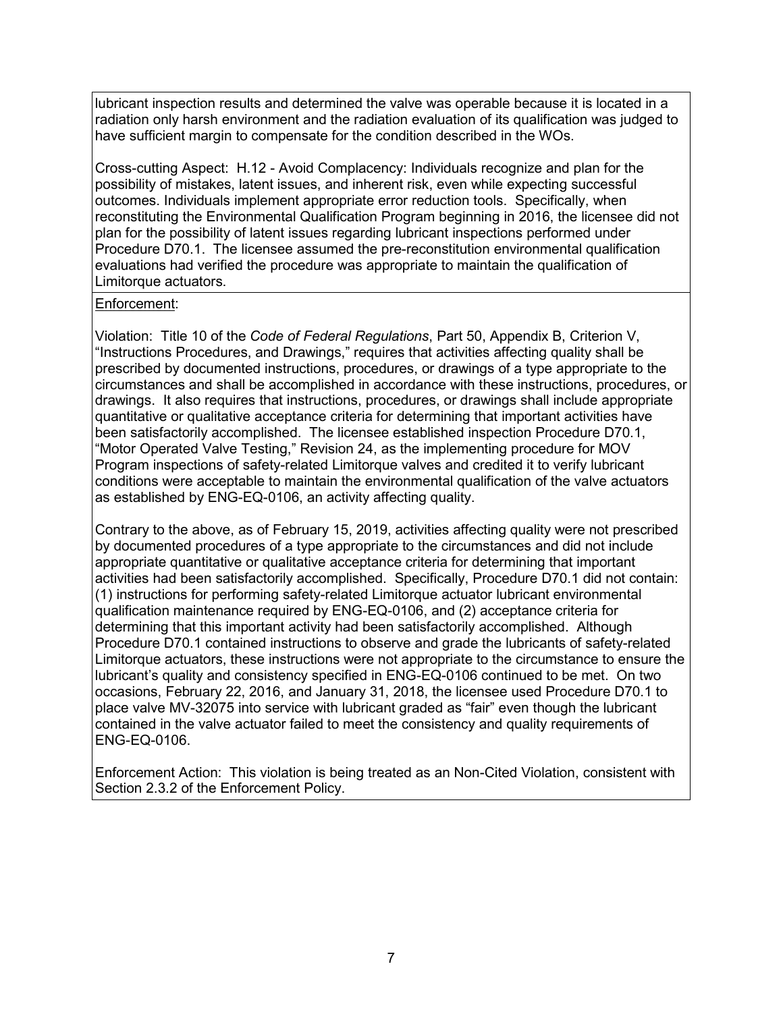lubricant inspection results and determined the valve was operable because it is located in a radiation only harsh environment and the radiation evaluation of its qualification was judged to have sufficient margin to compensate for the condition described in the WOs.

Cross-cutting Aspect: H.12 - Avoid Complacency: Individuals recognize and plan for the possibility of mistakes, latent issues, and inherent risk, even while expecting successful outcomes. Individuals implement appropriate error reduction tools. Specifically, when reconstituting the Environmental Qualification Program beginning in 2016, the licensee did not plan for the possibility of latent issues regarding lubricant inspections performed under Procedure D70.1. The licensee assumed the pre-reconstitution environmental qualification evaluations had verified the procedure was appropriate to maintain the qualification of Limitorque actuators.

#### Enforcement:

Violation: Title 10 of the *Code of Federal Regulations*, Part 50, Appendix B, Criterion V, "Instructions Procedures, and Drawings," requires that activities affecting quality shall be prescribed by documented instructions, procedures, or drawings of a type appropriate to the circumstances and shall be accomplished in accordance with these instructions, procedures, or drawings. It also requires that instructions, procedures, or drawings shall include appropriate quantitative or qualitative acceptance criteria for determining that important activities have been satisfactorily accomplished. The licensee established inspection Procedure D70.1, "Motor Operated Valve Testing," Revision 24, as the implementing procedure for MOV Program inspections of safety-related Limitorque valves and credited it to verify lubricant conditions were acceptable to maintain the environmental qualification of the valve actuators as established by ENG-EQ-0106, an activity affecting quality.

Contrary to the above, as of February 15, 2019, activities affecting quality were not prescribed by documented procedures of a type appropriate to the circumstances and did not include appropriate quantitative or qualitative acceptance criteria for determining that important activities had been satisfactorily accomplished. Specifically, Procedure D70.1 did not contain: (1) instructions for performing safety-related Limitorque actuator lubricant environmental qualification maintenance required by ENG-EQ-0106, and (2) acceptance criteria for determining that this important activity had been satisfactorily accomplished. Although Procedure D70.1 contained instructions to observe and grade the lubricants of safety-related Limitorque actuators, these instructions were not appropriate to the circumstance to ensure the lubricant's quality and consistency specified in ENG-EQ-0106 continued to be met. On two occasions, February 22, 2016, and January 31, 2018, the licensee used Procedure D70.1 to place valve MV-32075 into service with lubricant graded as "fair" even though the lubricant contained in the valve actuator failed to meet the consistency and quality requirements of ENG-EQ-0106.

Enforcement Action: This violation is being treated as an Non-Cited Violation, consistent with Section 2.3.2 of the Enforcement Policy.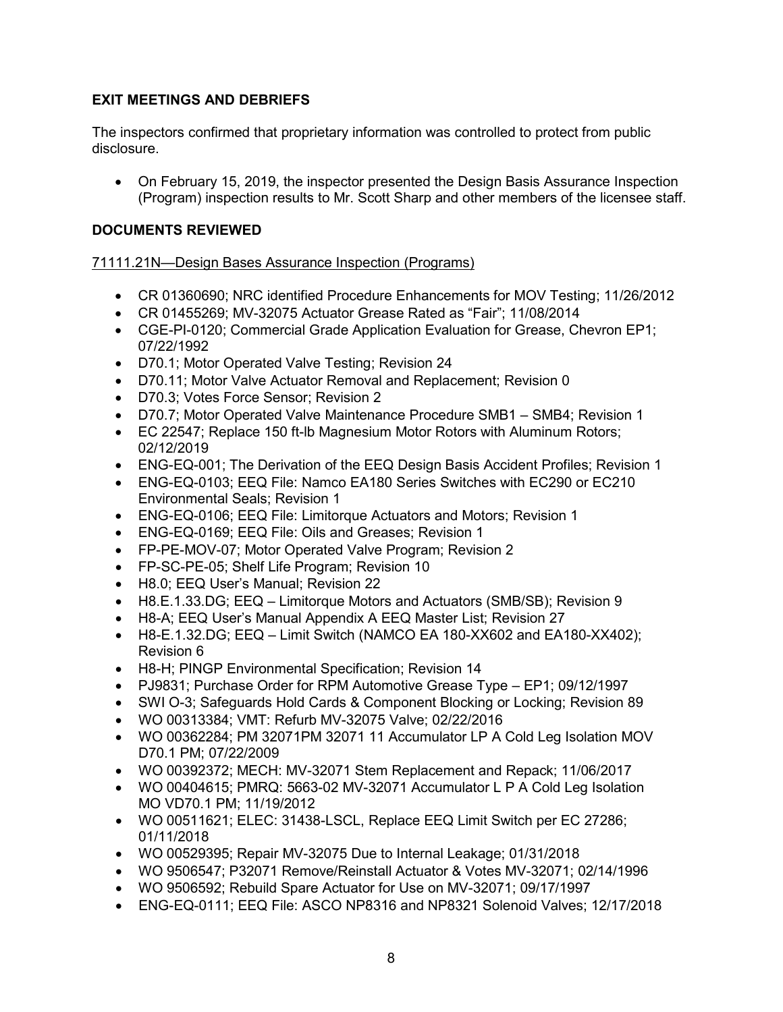# **EXIT MEETINGS AND DEBRIEFS**

The inspectors confirmed that proprietary information was controlled to protect from public disclosure.

• On February 15, 2019, the inspector presented the Design Basis Assurance Inspection (Program) inspection results to Mr. Scott Sharp and other members of the licensee staff.

# **DOCUMENTS REVIEWED**

## 71111.21N—Design Bases Assurance Inspection (Programs)

- CR 01360690; NRC identified Procedure Enhancements for MOV Testing; 11/26/2012
- CR 01455269; MV-32075 Actuator Grease Rated as "Fair"; 11/08/2014
- CGE-PI-0120; Commercial Grade Application Evaluation for Grease, Chevron EP1; 07/22/1992
- D70.1; Motor Operated Valve Testing; Revision 24
- D70.11; Motor Valve Actuator Removal and Replacement; Revision 0
- D70.3; Votes Force Sensor; Revision 2
- D70.7; Motor Operated Valve Maintenance Procedure SMB1 SMB4; Revision 1
- EC 22547; Replace 150 ft-lb Magnesium Motor Rotors with Aluminum Rotors; 02/12/2019
- ENG-EQ-001; The Derivation of the EEQ Design Basis Accident Profiles; Revision 1
- ENG-EQ-0103; EEQ File: Namco EA180 Series Switches with EC290 or EC210 Environmental Seals; Revision 1
- ENG-EQ-0106; EEQ File: Limitorque Actuators and Motors; Revision 1
- ENG-EQ-0169; EEQ File: Oils and Greases; Revision 1
- FP-PE-MOV-07; Motor Operated Valve Program; Revision 2
- FP-SC-PE-05; Shelf Life Program; Revision 10
- H8.0; EEQ User's Manual; Revision 22
- H8.E.1.33.DG; EEQ Limitorque Motors and Actuators (SMB/SB); Revision 9
- H8-A; EEQ User's Manual Appendix A EEQ Master List; Revision 27
- H8-E.1.32.DG; EEQ Limit Switch (NAMCO EA 180-XX602 and EA180-XX402); Revision 6
- H8-H; PINGP Environmental Specification; Revision 14
- PJ9831; Purchase Order for RPM Automotive Grease Type EP1; 09/12/1997
- SWI O-3; Safeguards Hold Cards & Component Blocking or Locking; Revision 89
- WO 00313384; VMT: Refurb MV-32075 Valve; 02/22/2016
- WO 00362284; PM 32071PM 32071 11 Accumulator LP A Cold Leg Isolation MOV D70.1 PM; 07/22/2009
- WO 00392372; MECH: MV-32071 Stem Replacement and Repack; 11/06/2017
- WO 00404615; PMRQ: 5663-02 MV-32071 Accumulator L P A Cold Leg Isolation MO VD70.1 PM; 11/19/2012
- WO 00511621; ELEC: 31438-LSCL, Replace EEQ Limit Switch per EC 27286; 01/11/2018
- WO 00529395; Repair MV-32075 Due to Internal Leakage; 01/31/2018
- WO 9506547; P32071 Remove/Reinstall Actuator & Votes MV-32071; 02/14/1996
- WO 9506592; Rebuild Spare Actuator for Use on MV-32071; 09/17/1997
- ENG-EQ-0111; EEQ File: ASCO NP8316 and NP8321 Solenoid Valves; 12/17/2018